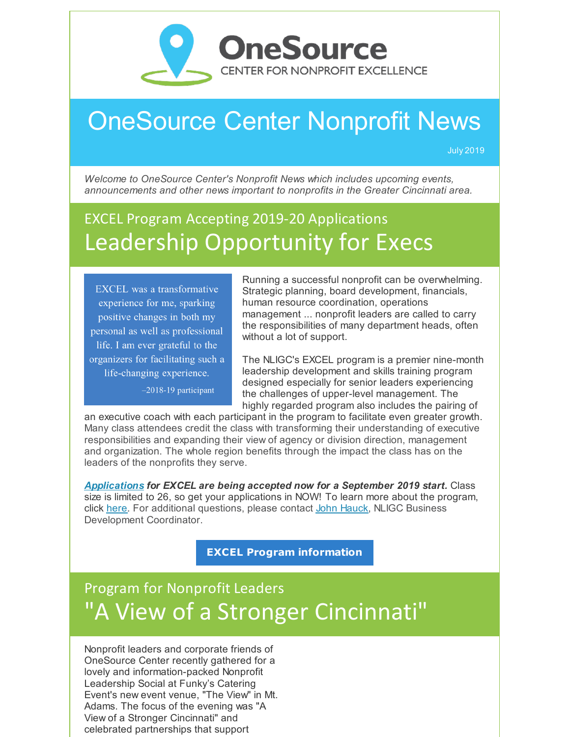

# OneSource Center Nonprofit News

July 2019

*Welcome to OneSource Center's Nonprofit News which includes upcoming events, announcements and other news important to nonprofits in the Greater Cincinnati area.*

## EXCEL Program Accepting 2019-20 Applications Leadership Opportunity for Execs

**EXCEL** was a transformative experience for me, sparking positive changes in both my personal as well as professional life. I am ever grateful to the organizers for facilitating such a life-changing experience.

-2018-19 participant

Running a successful nonprofit can be overwhelming. Strategic planning, board development, financials, human resource coordination, operations management ... nonprofit leaders are called to carry the responsibilities of many department heads, often without a lot of support.

The NLIGC's EXCEL program is a premier nine-month leadership development and skills training program designed especially for senior leaders experiencing the challenges of upper-level management. The highly regarded program also includes the pairing of

an executive coach with each participant in the program to facilitate even greater growth. Many class attendees credit the class with transforming their understanding of executive responsibilities and expanding their view of agency or division direction, management and organization. The whole region benefits through the impact the class has on the leaders of the nonprofits they serve.

*[Applications](http://www.nligc.com/applications/excel-3/) for EXCEL are being accepted now for a September 2019 start.* Class size is limited to 26, so get your applications in NOW! To learn more about the program, click [here](https://onesourcecenter.org/training/). For additional questions, please contact John [Hauck](mailto:John.Hauck@talberthouse.org), NLIGC Business Development Coordinator.

**EXCEL Program [information](http://www.nligc.com/programs/excel-3/)**

## Program for Nonprofit Leaders "A View of a Stronger Cincinnati"

Nonprofit leaders and corporate friends of OneSource Center recently gathered for a lovely and information-packed Nonprofit Leadership Social at Funky's Catering Event's new event venue, "The View" in Mt. Adams. The focus of the evening was "A View of a Stronger Cincinnati" and celebrated partnerships that support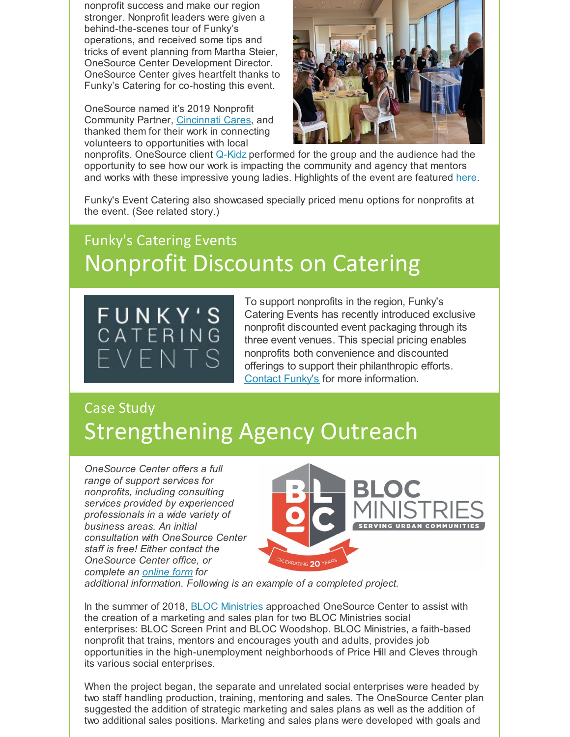nonprofit success and make our region stronger. Nonprofit leaders were given a behind-the-scenes tour of Funky's operations, and received some tips and tricks of event planning from Martha Steier, OneSource Center Development Director. OneSource Center gives heartfelt thanks to Funky's Catering for co-hosting this event.

OneSource named it's 2019 Nonprofit Community Partner, [Cincinnati](https://cincinnaticares.org/about/) Cares, and thanked them for their work in connecting volunteers to opportunities with local



nonprofits. OneSource client [Q-Kidz](http://qkidz.com/) performed for the group and the audience had the opportunity to see how our work is impacting the community and agency that mentors and works with these impressive young ladies. Highlights of the event are featured [here](https://onesourcecenter.org/onesource-and-funkys-spring-social/).

Funky's Event Catering also showcased specially priced menu options for nonprofits at the event. (See related story.)

## Funky's Catering Events Nonprofit Discounts on Catering



To support nonprofits in the region, Funky's Catering Events has recently introduced exclusive nonprofit discounted event packaging through its three event venues. This special pricing enables nonprofits both convenience and discounted offerings to support their philanthropic efforts. [Contact](https://funkyscatering.com/contact/) Funky's for more information.

## Case Study Strengthening Agency Outreach

*OneSource Center offers a full range of support services for nonprofits, including consulting services provided by experienced professionals in a wide variety of business areas. An initial consultation with OneSource Center staff is free! Either contact the OneSource Center office, or complete an [online](https://onesourcecenter.org/contact/) form for*



*additional information. Following is an example of a completed project.*

In the summer of 2018, **BLOC [Ministries](http://onebloc.org/)** approached OneSource Center to assist with the creation of a marketing and sales plan for two BLOC Ministries social enterprises: BLOC Screen Print and BLOC Woodshop. BLOC Ministries, a faith-based nonprofit that trains, mentors and encourages youth and adults, provides job opportunities in the high-unemployment neighborhoods of Price Hill and Cleves through its various social enterprises.

When the project began, the separate and unrelated social enterprises were headed by two staff handling production, training, mentoring and sales. The OneSource Center plan suggested the addition of strategic marketing and sales plans as well as the addition of two additional sales positions. Marketing and sales plans were developed with goals and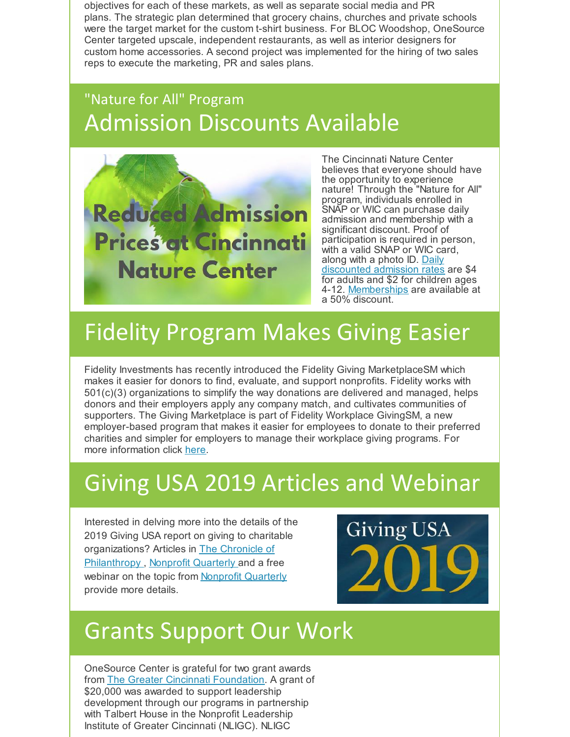objectives for each of these markets, as well as separate social media and PR plans. The strategic plan determined that grocery chains, churches and private schools were the target market for the custom t-shirt business. For BLOC Woodshop, OneSource Center targeted upscale, independent restaurants, as well as interior designers for custom home accessories. A second project was implemented for the hiring of two sales reps to execute the marketing, PR and sales plans.

## "Nature for All" Program Admission Discounts Available



The Cincinnati Nature Center believes that everyone should have the opportunity to experience nature! Through the "Nature for All" program, individuals enrolled in SNAP or WIC can purchase daily admission and membership with a significant discount. Proof of participation is required in person, with a valid SNAP or WIC card, along with a photo ID. Daily [discounted](https://www.cincynature.org/visit-us/rowe-woods-1/hours-and-admission-10/) admission rates are \$4 for adults and \$2 for children ages 4-12. <u>[Memberships](https://www.cincynature.org/membership/membership-discounts-8/)</u> are available at a 50% discount.

# Fidelity Program Makes Giving Easier

Fidelity Investments has recently introduced the Fidelity Giving MarketplaceSM which makes it easier for donors to find, evaluate, and support nonprofits. Fidelity works with 501(c)(3) organizations to simplify the way donations are delivered and managed, helps donors and their employers apply any company match, and cultivates communities of supporters. The Giving Marketplace is part of Fidelity Workplace GivingSM, a new employer-based program that makes it easier for employees to donate to their preferred charities and simpler for employers to manage their workplace giving programs. For more information click [here](https://www.forbes.com/sites/ashleaebeling/2019/03/26/fidelitys-latest-move-into-workplace-benefits-a-new-way-to-donate-to-charity/#6f92cbbc8d32).

# Giving USA 2019 Articles and Webinar

Interested in delving more into the details of the 2019 Giving USA report on giving to charitable [organizations?](https://tinyurl.com/yxm6zqhx) Articles in The Chronicle of Philanthropy , Nonprofit [Quarterly](https://tinyurl.com/y35vr5uk) and a free webinar on the topic from Nonprofit [Quarterly](https://tinyurl.com/y6em8ebe) provide more details.



## Grants Support Our Work

OneSource Center is grateful for two grant awards from The Greater Cincinnati [Foundation](https://www.gcfdn.org/). A grant of \$20,000 was awarded to support leadership development through our programs in partnership with Talbert House in the Nonprofit Leadership Institute of Greater Cincinnati (NLIGC). NLIGC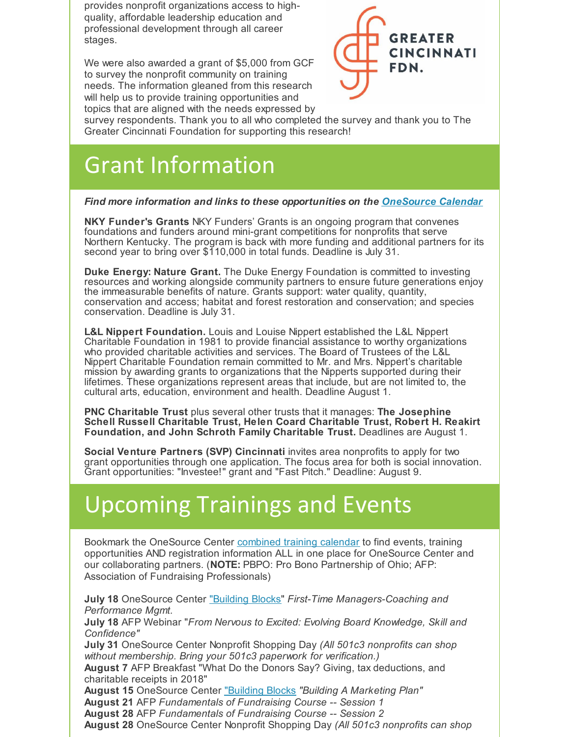provides nonprofit organizations access to highquality, affordable leadership education and professional development through all career stages.

We were also awarded a grant of \$5,000 from GCF to survey the nonprofit community on training needs. The information gleaned from this research will help us to provide training opportunities and topics that are aligned with the needs expressed by



survey respondents. Thank you to all who completed the survey and thank you to The Greater Cincinnati Foundation for supporting this research!

# Grant Information

#### *Find more information and links to these opportunities on the [OneSource](https://onesourcecenter.org/calendar/) Calendar*

**NKY Funder's Grants** NKY Funders' Grants is an ongoing program that convenes foundations and funders around mini-grant competitions for nonprofits that serve Northern Kentucky. The program is back with more funding and additional partners for its second year to bring over \$110,000 in total funds. Deadline is July 31.

**Duke Energy: Nature Grant.** The Duke Energy Foundation is committed to investing resources and working alongside community partners to ensure future generations enjoy the immeasurable benefits of nature. Grants support: water quality, quantity, conservation and access; habitat and forest restoration and conservation; and species conservation. Deadline is July 31.

**L&L Nippert Foundation.** Louis and Louise Nippert established the L&L Nippert Charitable Foundation in 1981 to provide financial assistance to worthy organizations who provided charitable activities and services. The Board of Trustees of the L&L Nippert Charitable Foundation remain committed to Mr. and Mrs. Nippert's charitable mission by awarding grants to organizations that the Nipperts supported during their lifetimes. These organizations represent areas that include, but are not limited to, the cultural arts, education, environment and health. Deadline August 1.

**PNC Charitable Trust** plus several other trusts that it manages: **The Josephine Schell Russell Charitable Trust, Helen Coard Charitable Trust, Robert H. Reakirt Foundation, and John Schroth Family Charitable Trust.** Deadlines are August 1.

**Social Venture Partners (SVP) Cincinnati** invites area nonprofits to apply for two grant opportunities through one application. The focus area for both is social innovation. Grant opportunities: "Investee!" grant and "Fast Pitch." Deadline: August 9.

## Upcoming Trainings and Events

Bookmark the OneSource Center [combined](https://onesourcecenter.org/calendar/) training calendar to find events, training opportunities AND registration information ALL in one place for OneSource Center and our collaborating partners. (**NOTE:** PBPO: Pro Bono Partnership of Ohio; AFP: Association of Fundraising Professionals)

**July 18** OneSource Center ["Building](https://onesourcecenter.org/training/) Blocks" *First-Time Managers-Coaching and Performance Mgmt.* **July 18** AFP Webinar "*From Nervous to Excited: Evolving Board Knowledge, Skill and Confidence"* **July 31** OneSource Center Nonprofit Shopping Day *(All 501c3 nonprofits can shop without membership. Bring your 501c3 paperwork for verification.)* **August 7** AFP Breakfast "What Do the Donors Say? Giving, tax deductions, and charitable receipts in 2018" **August 15** OneSource Center ["Building](https://onesourcecenter.org/training/) Blocks *"Building A Marketing Plan"* **August 21** AFP *Fundamentals of Fundraising Course -- Session 1* **August 28** AFP *Fundamentals of Fundraising Course -- Session 2* **August 28** OneSource Center Nonprofit Shopping Day *(All 501c3 nonprofits can shop*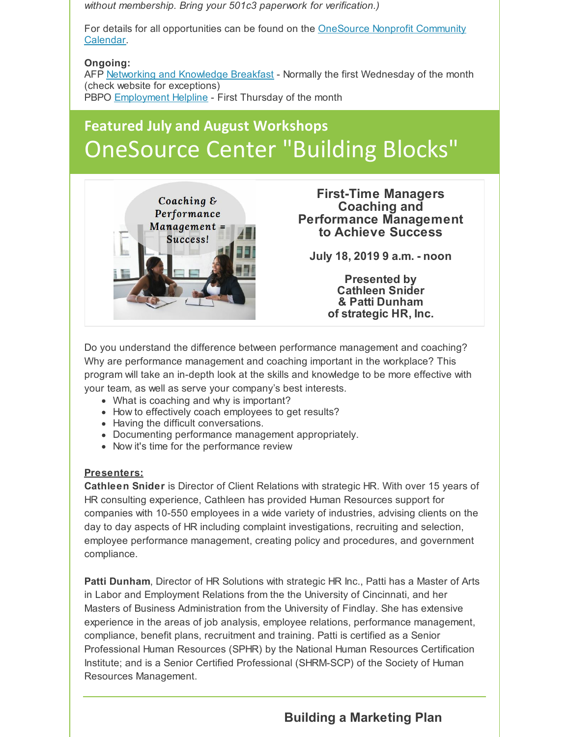*without membership. Bring your 501c3 paperwork for verification.)*

For details for all [opportunities](https://onesourcecenter.org/calendar/) can be found on the OneSource Nonprofit Community Calendar.

#### **Ongoing:**

AFP Networking and [Knowledge](http://www.afpcincinnati.org/event/networking-knowledge-breakfast-9/) Breakfast - Normally the first Wednesday of the month (check website for exceptions) PBPO **[Employment](https://www.pbpohio.org/upcoming-events) Helpline** - First Thursday of the month

## **Featured July and August Workshops** OneSource Center "Building Blocks"



**First-Time Managers Coaching and Performance Management to Achieve Success**

**July 18, 2019 9 a.m. - noon**

**Presented by Cathleen Snider & Patti Dunham of strategic HR, Inc.**

Do you understand the difference between performance management and coaching? Why are performance management and coaching important in the workplace? This program will take an in-depth look at the skills and knowledge to be more effective with your team, as well as serve your company's best interests.

- What is coaching and why is important?
- How to effectively coach employees to get results?
- Having the difficult conversations.
- Documenting performance management appropriately.
- Now it's time for the performance review

#### **Presenters:**

**Cathleen Snider** is Director of Client Relations with strategic HR. With over 15 years of HR consulting experience, Cathleen has provided Human Resources support for companies with 10-550 employees in a wide variety of industries, advising clients on the day to day aspects of HR including complaint investigations, recruiting and selection, employee performance management, creating policy and procedures, and government compliance.

**Patti Dunham**, Director of HR Solutions with strategic HR Inc., Patti has a Master of Arts in Labor and Employment Relations from the the University of Cincinnati, and her Masters of Business Administration from the University of Findlay. She has extensive experience in the areas of job analysis, employee relations, performance management, compliance, benefit plans, recruitment and training. Patti is certified as a Senior Professional Human Resources (SPHR) by the National Human Resources Certification Institute; and is a Senior Certified Professional (SHRM-SCP) of the Society of Human Resources Management.

### **Building a Marketing Plan**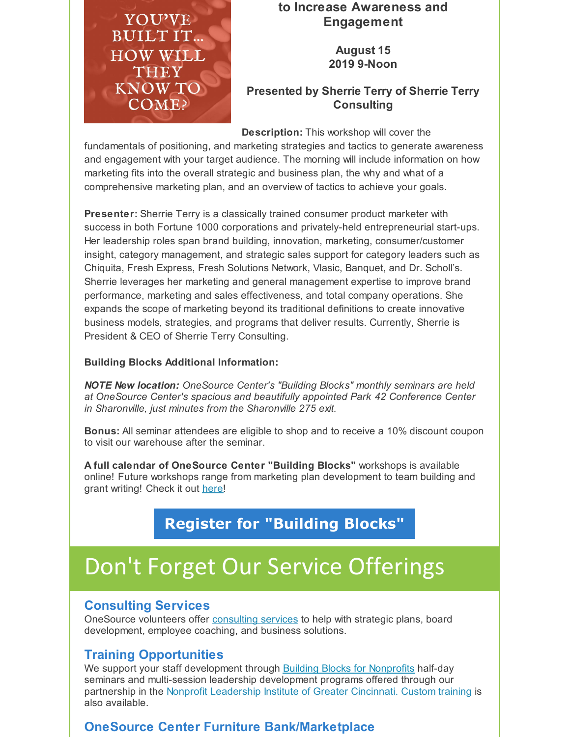

### **to Increase Awareness and Engagement**

**August 15 2019 9-Noon**

### **Presented by Sherrie Terry of Sherrie Terry Consulting**

**Description:** This workshop will cover the

fundamentals of positioning, and marketing strategies and tactics to generate awareness and engagement with your target audience. The morning will include information on how marketing fits into the overall strategic and business plan, the why and what of a comprehensive marketing plan, and an overview of tactics to achieve your goals.

**Presenter:** Sherrie Terry is a classically trained consumer product marketer with success in both Fortune 1000 corporations and privately-held entrepreneurial start-ups. Her leadership roles span brand building, innovation, marketing, consumer/customer insight, category management, and strategic sales support for category leaders such as Chiquita, Fresh Express, Fresh Solutions Network, Vlasic, Banquet, and Dr. Scholl's. Sherrie leverages her marketing and general management expertise to improve brand performance, marketing and sales effectiveness, and total company operations. She expands the scope of marketing beyond its traditional definitions to create innovative business models, strategies, and programs that deliver results. Currently, Sherrie is President & CEO of Sherrie Terry Consulting.

#### **Building Blocks Additional Information:**

*NOTE New location: OneSource Center's "Building Blocks" monthly seminars are held at OneSource Center's spacious and beautifully appointed Park 42 Conference Center in Sharonville, just minutes from the Sharonville 275 exit.*

**Bonus:** All seminar attendees are eligible to shop and to receive a 10% discount coupon to visit our warehouse after the seminar.

**A full calendar of OneSource Center "Building Blocks"** workshops is available online! Future workshops range from marketing plan development to team building and grant writing! Check it out [here](https://onesourcecenter.org/training/)!

### **Register for ["Building](https://onesourcecenter.org/training/) Blocks"**

# Don't Forget Our Service Offerings

### **Consulting Services**

OneSource volunteers offer [consulting](https://onesourcecenter.org/consulting/) services to help with strategic plans, board development, employee coaching, and business solutions.

### **Training Opportunities**

We support your staff development through Building Blocks for [Nonprofits](https://onesourcecenter.org/training/) half-day seminars and multi-session leadership development programs offered through our partnership in the Nonprofit [Leadership](http://nligc.com/) Institute of Greater Cincinnati. [Custom](https://www.surveymonkey.com/r/OneSource_RFA) training is also available.

### **OneSource Center Furniture Bank/Marketplace**